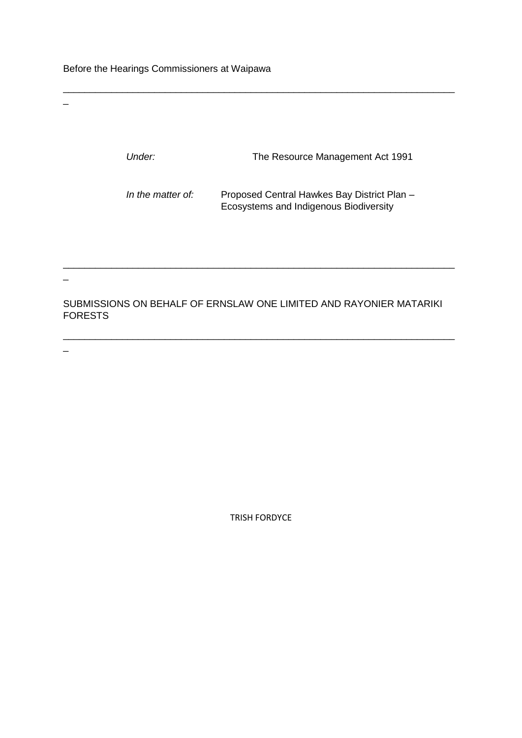Before the Hearings Commissioners at Waipawa

 $\equiv$ 

|                                                                                      | Under:            | The Resource Management Act 1991                                                      |
|--------------------------------------------------------------------------------------|-------------------|---------------------------------------------------------------------------------------|
|                                                                                      | In the matter of: | Proposed Central Hawkes Bay District Plan -<br>Ecosystems and Indigenous Biodiversity |
| SUBMISSIONS ON BEHALF OF ERNSLAW ONE LIMITED AND RAYONIER MATARIKI<br><b>FORESTS</b> |                   |                                                                                       |

 $\mathcal{L}_\text{max}$ 

\_\_\_\_\_\_\_\_\_\_\_\_\_\_\_\_\_\_\_\_\_\_\_\_\_\_\_\_\_\_\_\_\_\_\_\_\_\_\_\_\_\_\_\_\_\_\_\_\_\_\_\_\_\_\_\_\_\_\_\_\_\_\_\_\_\_\_\_\_\_\_\_\_

TRISH FORDYCE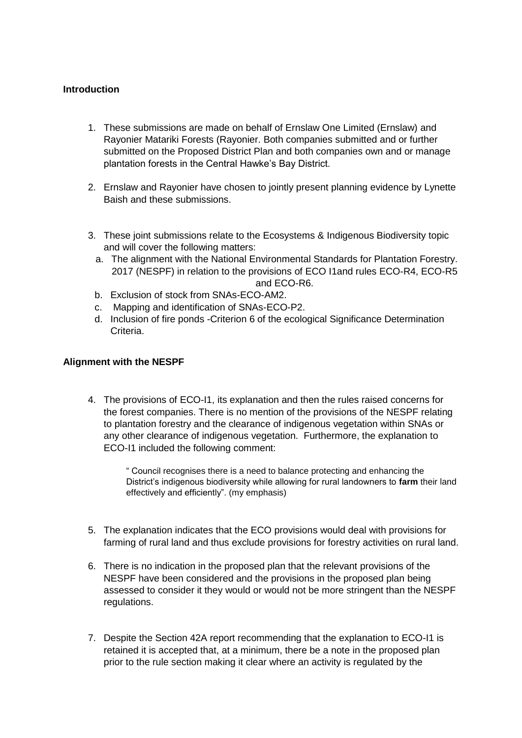## **Introduction**

- 1. These submissions are made on behalf of Ernslaw One Limited (Ernslaw) and Rayonier Matariki Forests (Rayonier. Both companies submitted and or further submitted on the Proposed District Plan and both companies own and or manage plantation forests in the Central Hawke's Bay District.
- 2. Ernslaw and Rayonier have chosen to jointly present planning evidence by Lynette Baish and these submissions.
- 3. These joint submissions relate to the Ecosystems & Indigenous Biodiversity topic and will cover the following matters:
	- a. The alignment with the National Environmental Standards for Plantation Forestry. 2017 (NESPF) in relation to the provisions of ECO I1and rules ECO-R4, ECO-R5 and ECO-R6.
	- b. Exclusion of stock from SNAs-ECO-AM2.
	- c. Mapping and identification of SNAs-ECO-P2.
	- d. Inclusion of fire ponds -Criterion 6 of the ecological Significance Determination Criteria.

#### **Alignment with the NESPF**

4. The provisions of ECO-I1, its explanation and then the rules raised concerns for the forest companies. There is no mention of the provisions of the NESPF relating to plantation forestry and the clearance of indigenous vegetation within SNAs or any other clearance of indigenous vegetation. Furthermore, the explanation to ECO-I1 included the following comment:

> " Council recognises there is a need to balance protecting and enhancing the District's indigenous biodiversity while allowing for rural landowners to **farm** their land effectively and efficiently". (my emphasis)

- 5. The explanation indicates that the ECO provisions would deal with provisions for farming of rural land and thus exclude provisions for forestry activities on rural land.
- 6. There is no indication in the proposed plan that the relevant provisions of the NESPF have been considered and the provisions in the proposed plan being assessed to consider it they would or would not be more stringent than the NESPF regulations.
- 7. Despite the Section 42A report recommending that the explanation to ECO-I1 is retained it is accepted that, at a minimum, there be a note in the proposed plan prior to the rule section making it clear where an activity is regulated by the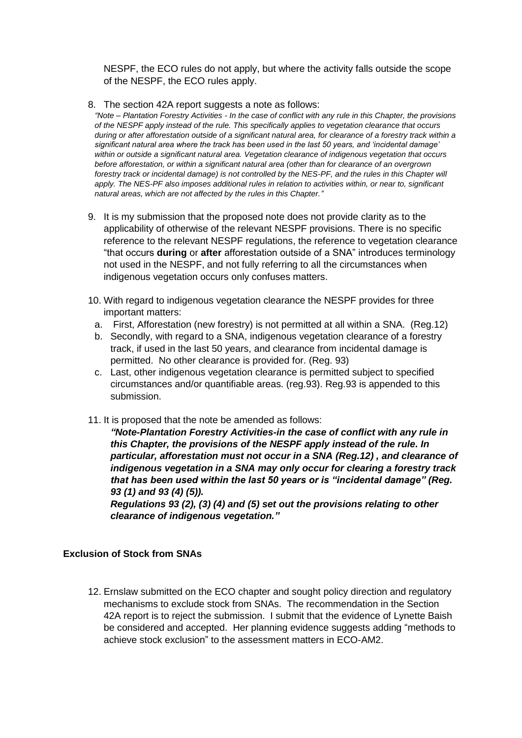NESPF, the ECO rules do not apply, but where the activity falls outside the scope of the NESPF, the ECO rules apply.

8. The section 42A report suggests a note as follows:

*"Note – Plantation Forestry Activities - In the case of conflict with any rule in this Chapter, the provisions of the NESPF apply instead of the rule. This specifically applies to vegetation clearance that occurs during or after afforestation outside of a significant natural area, for clearance of a forestry track within a significant natural area where the track has been used in the last 50 years, and 'incidental damage' within or outside a significant natural area. Vegetation clearance of indigenous vegetation that occurs before afforestation, or within a significant natural area (other than for clearance of an overgrown forestry track or incidental damage) is not controlled by the NES-PF, and the rules in this Chapter will apply. The NES-PF also imposes additional rules in relation to activities within, or near to, significant natural areas, which are not affected by the rules in this Chapter."*

- 9. It is my submission that the proposed note does not provide clarity as to the applicability of otherwise of the relevant NESPF provisions. There is no specific reference to the relevant NESPF regulations, the reference to vegetation clearance "that occurs **during** or **after** afforestation outside of a SNA" introduces terminology not used in the NESPF, and not fully referring to all the circumstances when indigenous vegetation occurs only confuses matters.
- 10. With regard to indigenous vegetation clearance the NESPF provides for three important matters:
	- a. First, Afforestation (new forestry) is not permitted at all within a SNA. (Reg.12)
	- b. Secondly, with regard to a SNA, indigenous vegetation clearance of a forestry track, if used in the last 50 years, and clearance from incidental damage is permitted. No other clearance is provided for. (Reg. 93)
	- c. Last, other indigenous vegetation clearance is permitted subject to specified circumstances and/or quantifiable areas. (reg.93). Reg.93 is appended to this submission.
- 11. It is proposed that the note be amended as follows:

*"Note-Plantation Forestry Activities-in the case of conflict with any rule in this Chapter, the provisions of the NESPF apply instead of the rule. In particular, afforestation must not occur in a SNA (Reg.12) , and clearance of indigenous vegetation in a SNA may only occur for clearing a forestry track that has been used within the last 50 years or is "incidental damage" (Reg. 93 (1) and 93 (4) (5)).*

*Regulations 93 (2), (3) (4) and (5) set out the provisions relating to other clearance of indigenous vegetation."*

### **Exclusion of Stock from SNAs**

12. Ernslaw submitted on the ECO chapter and sought policy direction and regulatory mechanisms to exclude stock from SNAs. The recommendation in the Section 42A report is to reject the submission. I submit that the evidence of Lynette Baish be considered and accepted. Her planning evidence suggests adding "methods to achieve stock exclusion" to the assessment matters in ECO-AM2.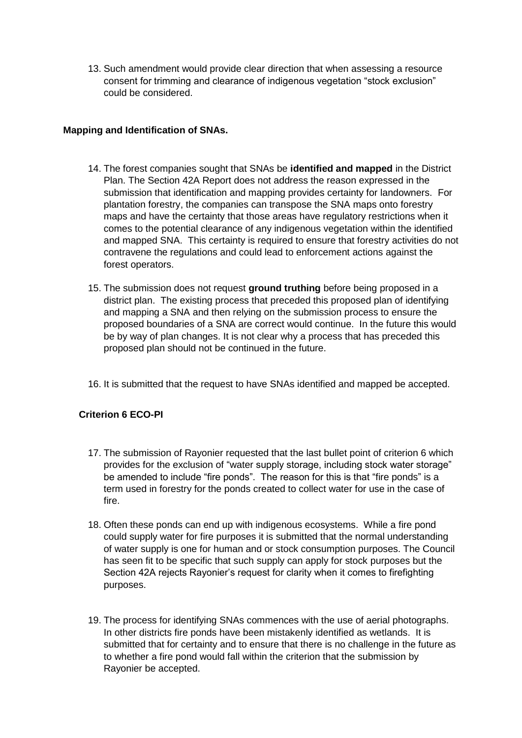13. Such amendment would provide clear direction that when assessing a resource consent for trimming and clearance of indigenous vegetation "stock exclusion" could be considered.

## **Mapping and Identification of SNAs.**

- 14. The forest companies sought that SNAs be **identified and mapped** in the District Plan. The Section 42A Report does not address the reason expressed in the submission that identification and mapping provides certainty for landowners. For plantation forestry, the companies can transpose the SNA maps onto forestry maps and have the certainty that those areas have regulatory restrictions when it comes to the potential clearance of any indigenous vegetation within the identified and mapped SNA. This certainty is required to ensure that forestry activities do not contravene the regulations and could lead to enforcement actions against the forest operators.
- 15. The submission does not request **ground truthing** before being proposed in a district plan. The existing process that preceded this proposed plan of identifying and mapping a SNA and then relying on the submission process to ensure the proposed boundaries of a SNA are correct would continue. In the future this would be by way of plan changes. It is not clear why a process that has preceded this proposed plan should not be continued in the future.
- 16. It is submitted that the request to have SNAs identified and mapped be accepted.

# **Criterion 6 ECO-PI**

- 17. The submission of Rayonier requested that the last bullet point of criterion 6 which provides for the exclusion of "water supply storage, including stock water storage" be amended to include "fire ponds". The reason for this is that "fire ponds" is a term used in forestry for the ponds created to collect water for use in the case of fire.
- 18. Often these ponds can end up with indigenous ecosystems. While a fire pond could supply water for fire purposes it is submitted that the normal understanding of water supply is one for human and or stock consumption purposes. The Council has seen fit to be specific that such supply can apply for stock purposes but the Section 42A rejects Rayonier's request for clarity when it comes to firefighting purposes.
- 19. The process for identifying SNAs commences with the use of aerial photographs. In other districts fire ponds have been mistakenly identified as wetlands. It is submitted that for certainty and to ensure that there is no challenge in the future as to whether a fire pond would fall within the criterion that the submission by Rayonier be accepted.